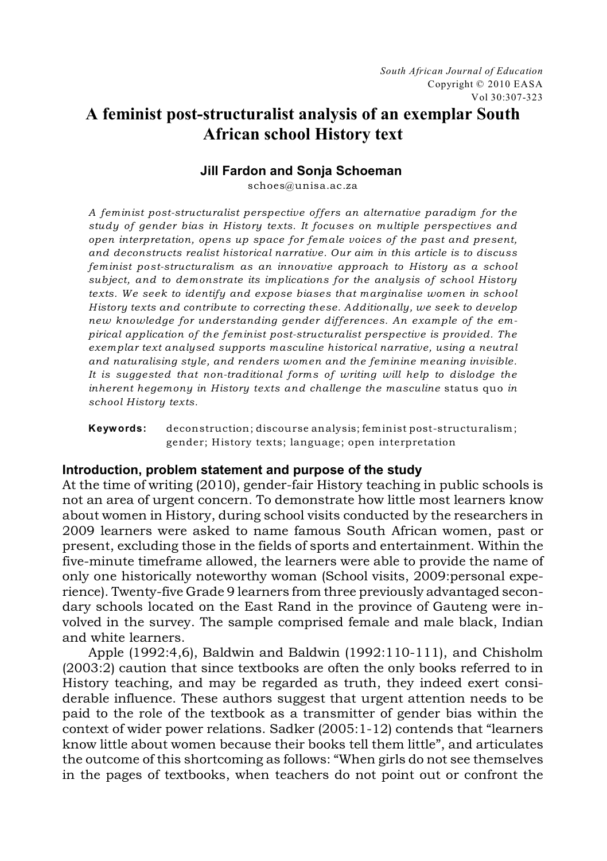# **A feminist post-structuralist analysis of an exemplar South African school History text**

# **Jill Fardon and Sonja Schoeman**

schoes@unisa.ac.za

*A feminist post-structuralist perspective offers an alternative paradigm for the study of gender bias in History texts. It focuses on multiple perspectives and open interpretation, opens up space for female voices of the past and present, and deconstructs realist historical narrative. Our aim in this article is to discuss feminist post-structuralism as an innovative approach to History as a school subject, and to demonstrate its implications for the analysis of school History texts. We seek to identify and expose biases that marginalise women in school History texts and contribute to correcting these. Additionally, we seek to develop new knowledge for understanding gender differences. An example of the empirical application of the feminist post-structuralist perspective is provided. The exemplar text analysed supports masculine historical narrative, using a neutral and naturalising style, and renders women and the feminine meaning invisible. It is suggested that non-traditional forms of writing will help to dislodge the inherent hegemony in History texts and challenge the masculine* status quo *in school History texts.*

**Keywords:** deconstruction; discourse analysis; feminist post-structuralism; gender; History texts; language; open interpretation

## **Introduction, problem statement and purpose of the study**

At the time of writing (2010), gender-fair History teaching in public schools is not an area of urgent concern. To demonstrate how little most learners know about women in History, during school visits conducted by the researchers in 2009 learners were asked to name famous South African women, past or present, excluding those in the fields of sports and entertainment. Within the five-minute timeframe allowed, the learners were able to provide the name of only one historically noteworthy woman (School visits, 2009:personal experience). Twenty-five Grade 9 learners from three previously advantaged secondary schools located on the East Rand in the province of Gauteng were involved in the survey. The sample comprised female and male black, Indian and white learners.

Apple (1992:4,6), Baldwin and Baldwin (1992:110-111), and Chisholm (2003:2) caution that since textbooks are often the only books referred to in History teaching, and may be regarded as truth, they indeed exert considerable influence. These authors suggest that urgent attention needs to be paid to the role of the textbook as a transmitter of gender bias within the context of wider power relations. Sadker (2005:1-12) contends that "learners know little about women because their books tell them little", and articulates the outcome of this shortcoming as follows: "When girls do not see themselves in the pages of textbooks, when teachers do not point out or confront the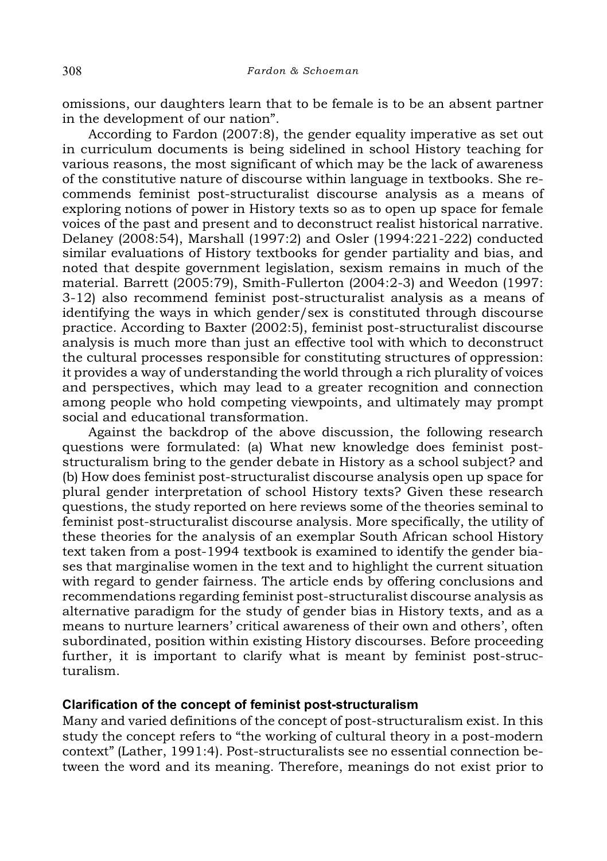omissions, our daughters learn that to be female is to be an absent partner in the development of our nation".

According to Fardon (2007:8), the gender equality imperative as set out in curriculum documents is being sidelined in school History teaching for various reasons, the most significant of which may be the lack of awareness of the constitutive nature of discourse within language in textbooks. She recommends feminist post-structuralist discourse analysis as a means of exploring notions of power in History texts so as to open up space for female voices of the past and present and to deconstruct realist historical narrative. Delaney (2008:54), Marshall (1997:2) and Osler (1994:221-222) conducted similar evaluations of History textbooks for gender partiality and bias, and noted that despite government legislation, sexism remains in much of the material. Barrett (2005:79), Smith-Fullerton (2004:2-3) and Weedon (1997: 3-12) also recommend feminist post-structuralist analysis as a means of identifying the ways in which gender/sex is constituted through discourse practice. According to Baxter (2002:5), feminist post-structuralist discourse analysis is much more than just an effective tool with which to deconstruct the cultural processes responsible for constituting structures of oppression: it provides a way of understanding the world through a rich plurality of voices and perspectives, which may lead to a greater recognition and connection among people who hold competing viewpoints, and ultimately may prompt social and educational transformation.

Against the backdrop of the above discussion, the following research questions were formulated: (a) What new knowledge does feminist poststructuralism bring to the gender debate in History as a school subject? and (b) How does feminist post-structuralist discourse analysis open up space for plural gender interpretation of school History texts? Given these research questions, the study reported on here reviews some of the theories seminal to feminist post-structuralist discourse analysis. More specifically, the utility of these theories for the analysis of an exemplar South African school History text taken from a post-1994 textbook is examined to identify the gender biases that marginalise women in the text and to highlight the current situation with regard to gender fairness. The article ends by offering conclusions and recommendations regarding feminist post-structuralist discourse analysis as alternative paradigm for the study of gender bias in History texts, and as a means to nurture learners' critical awareness of their own and others', often subordinated, position within existing History discourses. Before proceeding further, it is important to clarify what is meant by feminist post-structuralism.

## **Clarification of the concept of feminist post-structuralism**

Many and varied definitions of the concept of post-structuralism exist. In this study the concept refers to "the working of cultural theory in a post-modern context" (Lather, 1991:4). Post-structuralists see no essential connection between the word and its meaning. Therefore, meanings do not exist prior to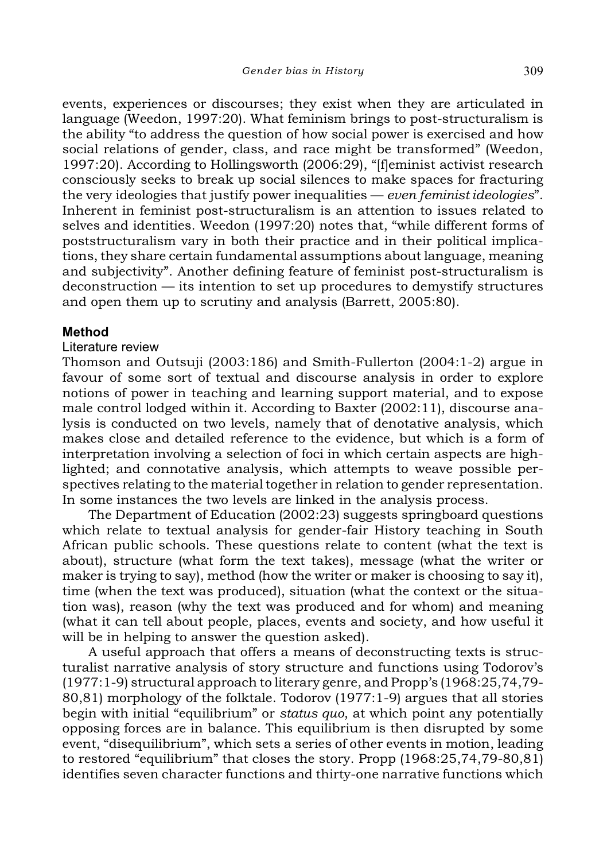events, experiences or discourses; they exist when they are articulated in language (Weedon, 1997:20). What feminism brings to post-structuralism is the ability "to address the question of how social power is exercised and how social relations of gender, class, and race might be transformed" (Weedon, 1997:20). According to Hollingsworth (2006:29), "[f]eminist activist research consciously seeks to break up social silences to make spaces for fracturing the very ideologies that justify power inequalities — *even feminist ideologies*". Inherent in feminist post-structuralism is an attention to issues related to selves and identities. Weedon (1997:20) notes that, "while different forms of poststructuralism vary in both their practice and in their political implications, they share certain fundamental assumptions about language, meaning and subjectivity". Another defining feature of feminist post-structuralism is deconstruction — its intention to set up procedures to demystify structures and open them up to scrutiny and analysis (Barrett, 2005:80).

# **Method**

#### Literature review

Thomson and Outsuji (2003:186) and Smith-Fullerton (2004:1-2) argue in favour of some sort of textual and discourse analysis in order to explore notions of power in teaching and learning support material, and to expose male control lodged within it. According to Baxter (2002:11), discourse analysis is conducted on two levels, namely that of denotative analysis, which makes close and detailed reference to the evidence, but which is a form of interpretation involving a selection of foci in which certain aspects are highlighted; and connotative analysis, which attempts to weave possible perspectives relating to the material together in relation to gender representation. In some instances the two levels are linked in the analysis process.

The Department of Education (2002:23) suggests springboard questions which relate to textual analysis for gender-fair History teaching in South African public schools. These questions relate to content (what the text is about), structure (what form the text takes), message (what the writer or maker is trying to say), method (how the writer or maker is choosing to say it), time (when the text was produced), situation (what the context or the situation was), reason (why the text was produced and for whom) and meaning (what it can tell about people, places, events and society, and how useful it will be in helping to answer the question asked).

A useful approach that offers a means of deconstructing texts is structuralist narrative analysis of story structure and functions using Todorov's (1977:1-9) structural approach to literary genre, and Propp's (1968:25,74,79- 80,81) morphology of the folktale. Todorov (1977:1-9) argues that all stories begin with initial "equilibrium" or *status quo*, at which point any potentially opposing forces are in balance. This equilibrium is then disrupted by some event, "disequilibrium", which sets a series of other events in motion, leading to restored "equilibrium" that closes the story. Propp (1968:25,74,79-80,81) identifies seven character functions and thirty-one narrative functions which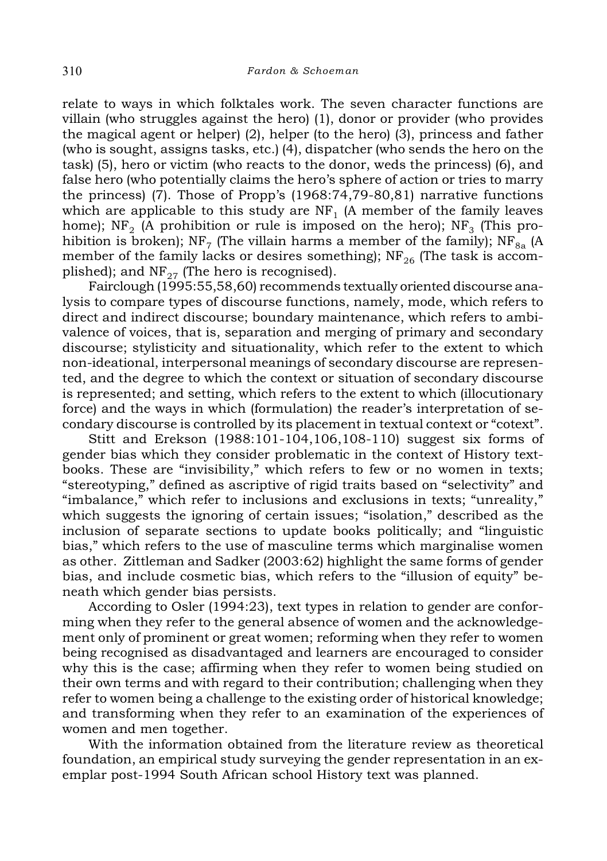relate to ways in which folktales work. The seven character functions are villain (who struggles against the hero) (1), donor or provider (who provides the magical agent or helper) (2), helper (to the hero) (3), princess and father (who is sought, assigns tasks, etc.) (4), dispatcher (who sends the hero on the task) (5), hero or victim (who reacts to the donor, weds the princess) (6), and false hero (who potentially claims the hero's sphere of action or tries to marry the princess) (7). Those of Propp's (1968:74,79-80,81) narrative functions which are applicable to this study are  ${\rm NF}_1$  (A member of the family leaves home); NF<sub>2</sub> (A prohibition or rule is imposed on the hero); NF<sub>3</sub> (This prohibition is broken); NF<sub>7</sub> (The villain harms a member of the family); NF<sub>8a</sub> (A member of the family lacks or desires something);  $NF_{26}$  (The task is accomplished); and  $NF_{27}$  (The hero is recognised).

Fairclough (1995:55,58,60) recommends textually oriented discourse analysis to compare types of discourse functions, namely, mode, which refers to direct and indirect discourse; boundary maintenance, which refers to ambivalence of voices, that is, separation and merging of primary and secondary discourse; stylisticity and situationality, which refer to the extent to which non-ideational, interpersonal meanings of secondary discourse are represented, and the degree to which the context or situation of secondary discourse is represented; and setting, which refers to the extent to which (illocutionary force) and the ways in which (formulation) the reader's interpretation of secondary discourse is controlled by its placement in textual context or "cotext".

Stitt and Erekson (1988:101-104,106,108-110) suggest six forms of gender bias which they consider problematic in the context of History textbooks. These are "invisibility," which refers to few or no women in texts; "stereotyping," defined as ascriptive of rigid traits based on "selectivity" and "imbalance," which refer to inclusions and exclusions in texts; "unreality," which suggests the ignoring of certain issues; "isolation," described as the inclusion of separate sections to update books politically; and "linguistic bias," which refers to the use of masculine terms which marginalise women as other. Zittleman and Sadker (2003:62) highlight the same forms of gender bias, and include cosmetic bias, which refers to the "illusion of equity" beneath which gender bias persists.

According to Osler (1994:23), text types in relation to gender are conforming when they refer to the general absence of women and the acknowledgement only of prominent or great women; reforming when they refer to women being recognised as disadvantaged and learners are encouraged to consider why this is the case; affirming when they refer to women being studied on their own terms and with regard to their contribution; challenging when they refer to women being a challenge to the existing order of historical knowledge; and transforming when they refer to an examination of the experiences of women and men together.

With the information obtained from the literature review as theoretical foundation, an empirical study surveying the gender representation in an exemplar post-1994 South African school History text was planned.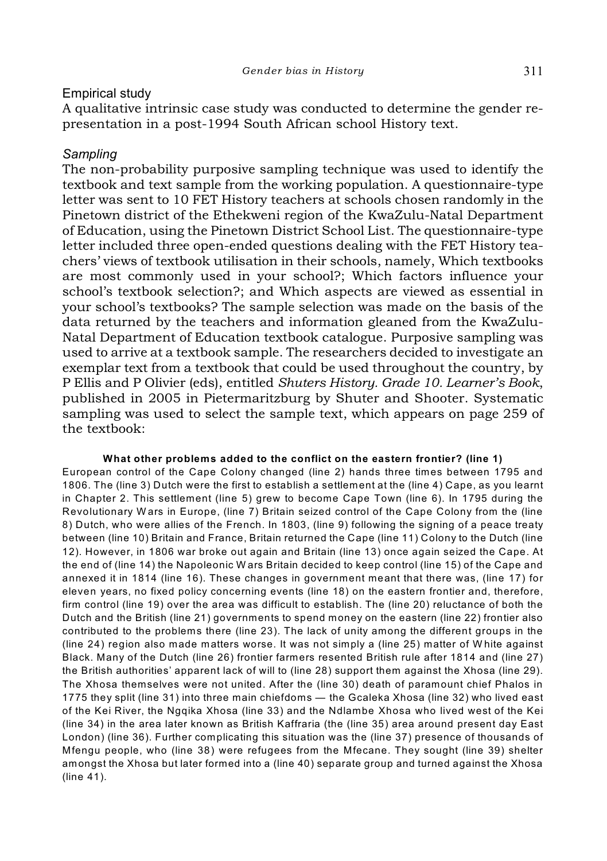## Empirical study

A qualitative intrinsic case study was conducted to determine the gender representation in a post-1994 South African school History text.

## *Sampling*

The non-probability purposive sampling technique was used to identify the textbook and text sample from the working population. A questionnaire-type letter was sent to 10 FET History teachers at schools chosen randomly in the Pinetown district of the Ethekweni region of the KwaZulu-Natal Department of Education, using the Pinetown District School List. The questionnaire-type letter included three open-ended questions dealing with the FET History teachers' views of textbook utilisation in their schools, namely, Which textbooks are most commonly used in your school?; Which factors influence your school's textbook selection?; and Which aspects are viewed as essential in your school's textbooks? The sample selection was made on the basis of the data returned by the teachers and information gleaned from the KwaZulu-Natal Department of Education textbook catalogue. Purposive sampling was used to arrive at a textbook sample. The researchers decided to investigate an exemplar text from a textbook that could be used throughout the country, by P Ellis and P Olivier (eds), entitled *Shuters History. Grade 10. Learner's Book*, published in 2005 in Pietermaritzburg by Shuter and Shooter. Systematic sampling was used to select the sample text, which appears on page 259 of the textbook:

#### **What other problems added to the conflict on the eastern frontier? (line 1)**

European control of the Cape Colony changed (line 2) hands three times between 1795 and 1806. The (line 3) Dutch were the first to establish a settlement at the (line 4) Cape, as you learnt in Chapter 2. This settlement (line 5) grew to become Cape Town (line 6). In 1795 during the Revolutionary W ars in Europe, (line 7) Britain seized control of the Cape Colony from the (line 8) Dutch, who were allies of the French. In 1803, (line 9) following the signing of a peace treaty between (line 10) Britain and France, Britain returned the Cape (line 11) Colony to the Dutch (line 12). However, in 1806 war broke out again and Britain (line 13) once again seized the Cape. At the end of (line 14) the Napoleonic W ars Britain decided to keep control (line 15) of the Cape and annexed it in 1814 (line 16). These changes in government meant that there was, (line 17) for eleven years, no fixed policy concerning events (line 18) on the eastern frontier and, therefore, firm control (line 19) over the area was difficult to establish. The (line 20) reluctance of both the Dutch and the British (line 21) governments to spend money on the eastern (line 22) frontier also contributed to the problems there (line 23). The lack of unity among the different groups in the (line 24) region also made matters worse. It was not simply a (line 25) matter of W hite against Black. Many of the Dutch (line 26) frontier farmers resented British rule after 1814 and (line 27) the British authorities' apparent lack of will to (line 28) support them against the Xhosa (line 29). The Xhosa themselves were not united. After the (line 30) death of paramount chief Phalos in 1775 they split (line 31) into three main chiefdoms — the Gcaleka Xhosa (line 32) who lived east of the Kei River, the Ngqika Xhosa (line 33) and the Ndlambe Xhosa who lived west of the Kei (line 34) in the area later known as British Kaffraria (the (line 35) area around present day East London) (line 36). Further complicating this situation was the (line 37) presence of thousands of Mfengu people, who (line 38) were refugees from the Mfecane. They sought (line 39) shelter amongst the Xhosa but later formed into a (line 40) separate group and turned against the Xhosa (line 41).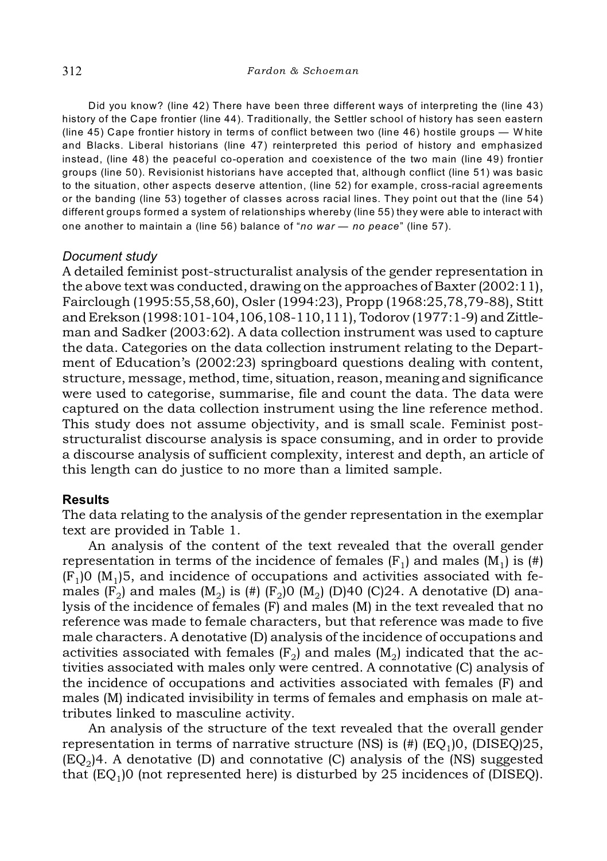Did you know? (line 42) There have been three different ways of interpreting the (line 43) history of the Cape frontier (line 44). Traditionally, the Settler school of history has seen eastern (line 45) Cape frontier history in terms of conflict between two (line 46) hostile groups — W hite and Blacks. Liberal historians (line 47) reinterpreted this period of history and emphasized instead, (line 48) the peaceful co-operation and coexistence of the two main (line 49) frontier groups (line 50). Revisionist historians have accepted that, although conflict (line 51) was basic to the situation, other aspects deserve attention, (line 52) for example, cross-racial agreements or the banding (line 53) together of classes across racial lines. They point out that the (line 54) different groups formed a system of relationships whereby (line 55) they were able to interact with one another to maintain a (line 56) balance of "*no war* — *no peace*" (line 57).

### *Document study*

A detailed feminist post-structuralist analysis of the gender representation in the above text was conducted, drawing on the approaches of Baxter (2002:11), Fairclough (1995:55,58,60), Osler (1994:23), Propp (1968:25,78,79-88), Stitt and Erekson (1998:101-104,106,108-110,111), Todorov (1977:1-9) and Zittleman and Sadker (2003:62). A data collection instrument was used to capture the data. Categories on the data collection instrument relating to the Department of Education's (2002:23) springboard questions dealing with content, structure, message, method, time, situation, reason, meaning and significance were used to categorise, summarise, file and count the data. The data were captured on the data collection instrument using the line reference method. This study does not assume objectivity, and is small scale. Feminist poststructuralist discourse analysis is space consuming, and in order to provide a discourse analysis of sufficient complexity, interest and depth, an article of this length can do justice to no more than a limited sample.

## **Results**

The data relating to the analysis of the gender representation in the exemplar text are provided in Table 1.

An analysis of the content of the text revealed that the overall gender representation in terms of the incidence of females  $(F_1)$  and males  $(M_1)$  is  $(H)$  $(F<sub>1</sub>)$ 0 (M<sub>1</sub>)5, and incidence of occupations and activities associated with females (F<sub>2</sub>) and males (M<sub>2</sub>) is (#) (F<sub>2</sub>)0 (M<sub>2</sub>) (D)40 (C)24. A denotative (D) analysis of the incidence of females (F) and males (M) in the text revealed that no reference was made to female characters, but that reference was made to five male characters. A denotative (D) analysis of the incidence of occupations and activities associated with females  $(F_2)$  and males  $(M_2)$  indicated that the activities associated with males only were centred. A connotative (C) analysis of the incidence of occupations and activities associated with females (F) and males (M) indicated invisibility in terms of females and emphasis on male attributes linked to masculine activity.

An analysis of the structure of the text revealed that the overall gender representation in terms of narrative structure (NS) is (#) (EQ<sub>1</sub>)0, (DISEQ)25,  $(\mathrm{EQ}_2)$ 4. A denotative (D) and connotative (C) analysis of the (NS) suggested that (EQ<sub>1</sub>)0 (not represented here) is disturbed by 25 incidences of (DISEQ).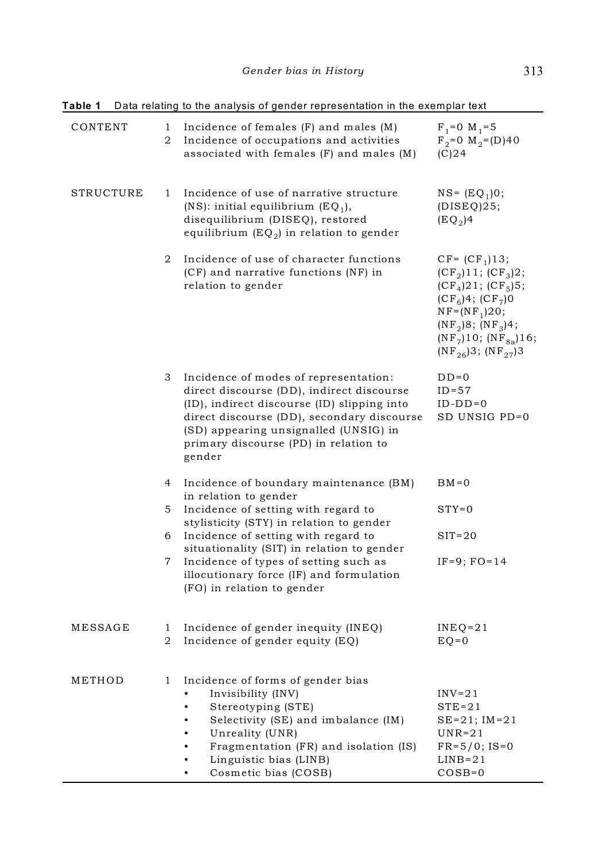| гарне т   |                | <u>Data relating to the analysis of genuer representation in the exemplar text</u>                                                                                                                                                                                          |                                                                                                                                                                                                            |
|-----------|----------------|-----------------------------------------------------------------------------------------------------------------------------------------------------------------------------------------------------------------------------------------------------------------------------|------------------------------------------------------------------------------------------------------------------------------------------------------------------------------------------------------------|
| CONTENT   | 1<br>2         | Incidence of females $(F)$ and males $(M)$<br>Incidence of occupations and activities<br>associated with females (F) and males (M)                                                                                                                                          | $F_1 = 0$ M <sub>1</sub> =5<br>$F_2 = 0$ M <sub>2</sub> = (D) 40<br>$(C)$ 24                                                                                                                               |
| STRUCTURE | 1              | Incidence of use of narrative structure<br>$(NS)$ : initial equilibrium $(EQ_1)$ ,<br>disequilibrium (DISEQ), restored<br>equilibrium $(EQ_2)$ in relation to gender                                                                                                        | $NS = (EQ_1)0;$<br>(DISEQ)25;<br>$(EQ2)$ 4                                                                                                                                                                 |
|           | 2              | Incidence of use of character functions<br>(CF) and narrative functions (NF) in<br>relation to gender                                                                                                                                                                       | $CF = (CF1)13;$<br>$(CF_2)11; (CF_3)2;$<br>$(CF_4)21$ ; $(CF_5)5$ ;<br>$(CF_6)4$ ; $(CF_7)0$<br>$NF = (NF_1)20;$<br>$(NF_2)8$ ; $(NF_3)4$ ;<br>$(NF_7)10$ ; $(NF_{8a})16$ ;<br>$(NF_{26})3$ ; $(NF_{27})3$ |
|           | 3              | Incidence of modes of representation:<br>direct discourse (DD), indirect discourse<br>(ID), indirect discourse (ID) slipping into<br>direct discourse (DD), secondary discourse<br>(SD) appearing unsignalled (UNSIG) in<br>primary discourse (PD) in relation to<br>gender | $DD=0$<br>$ID = 57$<br>$ID-DD=0$<br>SD UNSIG PD=0                                                                                                                                                          |
|           | $\overline{4}$ | Incidence of boundary maintenance (BM)<br>in relation to gender                                                                                                                                                                                                             | $BM = 0$                                                                                                                                                                                                   |
|           | 5              | Incidence of setting with regard to<br>stylisticity (STY) in relation to gender                                                                                                                                                                                             | $STY=0$                                                                                                                                                                                                    |
|           | 6              | Incidence of setting with regard to<br>situationality (SIT) in relation to gender                                                                                                                                                                                           | $SIT=20$                                                                                                                                                                                                   |
|           | 7              | Incidence of types of setting such as<br>illocutionary force (IF) and formulation<br>(FO) in relation to gender                                                                                                                                                             | $IF=9$ ; $FO=14$                                                                                                                                                                                           |
| MESSAGE   | 1<br>2         | Incidence of gender inequity (INEQ)<br>Incidence of gender equity (EQ)                                                                                                                                                                                                      | $INEO=21$<br>$EQ=0$                                                                                                                                                                                        |
| METHOD    | 1              | Incidence of forms of gender bias<br>Invisibility (INV)<br>Stereotyping (STE)<br>٠<br>Selectivity (SE) and imbalance (IM)<br>Unreality (UNR)<br>٠<br>Fragmentation (FR) and isolation (IS)<br>Linguistic bias (LINB)<br>Cosmetic bias (COSB)<br>$\bullet$                   | $INV=21$<br>$STE=21$<br>$SE = 21$ ; $IM = 21$<br>$UNR=21$<br>$FR = 5/0$ ; IS=0<br>$LINB = 21$<br>$COSB=0$                                                                                                  |

**Table 1** Data relating to the analysis of gender representation in the exemplar text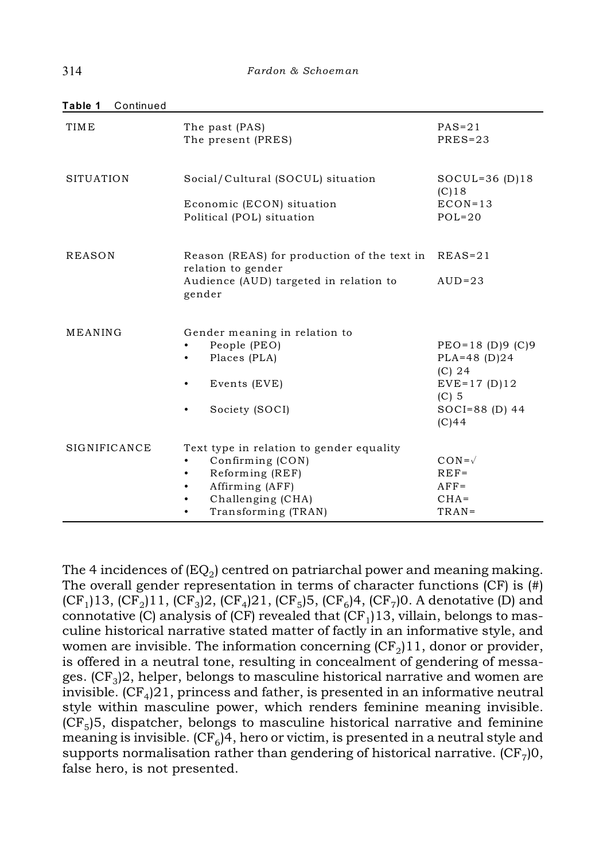| <b>TIME</b>      | The past (PAS)<br>The present (PRES)                                                                                                                               | $PAS = 21$<br>$PRES = 23$                                                                                     |
|------------------|--------------------------------------------------------------------------------------------------------------------------------------------------------------------|---------------------------------------------------------------------------------------------------------------|
| <b>SITUATION</b> | Social/Cultural (SOCUL) situation<br>Economic (ECON) situation<br>Political (POL) situation                                                                        | SOCUL=36 $(D)$ 18<br>$(C)$ 18<br>$ECON=13$<br>$POL=20$                                                        |
| <b>REASON</b>    | Reason (REAS) for production of the text in REAS=21<br>relation to gender<br>Audience (AUD) targeted in relation to<br>gender                                      | $AUD=23$                                                                                                      |
| MEANING          | Gender meaning in relation to<br>People (PEO)<br>Places (PLA)<br>٠<br>Events (EVE)<br>٠<br>Society (SOCI)                                                          | $PEO=18$ (D)9 (C)9<br>$PLA=48$ (D)24<br>$(C)$ 24<br>$EVE = 17(D)12$<br>$(C)$ 5<br>$SOCI = 88$ (D) 44<br>(C)44 |
| SIGNIFICANCE     | Text type in relation to gender equality<br>Confirming (CON)<br>٠<br>Reforming (REF)<br>٠<br>Affirming (AFF)<br>٠<br>Challenging (CHA)<br>Transforming (TRAN)<br>٠ | $\text{CON}=\sqrt{ }$<br>$REF=$<br>$AFF=$<br>$CHA=$<br>$TRAN =$                                               |

**Table 1** Continued

The 4 incidences of (EQ $_2$ ) centred on patriarchal power and meaning making. The overall gender representation in terms of character functions  $(CF)$  is  $(\vec{H})$ (CF<sub>1</sub>)13, (CF<sub>2</sub>)11, (CF<sub>3</sub>)2, (CF<sub>4</sub>)21, (CF<sub>5</sub>)5, (CF<sub>6</sub>)4, (CF<sub>7</sub>)0. A denotative (D) and connotative (C) analysis of (CF) revealed that (CF $_{\rm l}$ )13, villain, belongs to masculine historical narrative stated matter of factly in an informative style, and women are invisible. The information concerning (CF $_2$ )11, donor or provider, is offered in a neutral tone, resulting in concealment of gendering of messages. (CF $_{\rm 3}$ )2, helper, belongs to masculine historical narrative and women are invisible.  $(\mathrm{CF}_4)21,$  princess and father, is presented in an informative neutral style within masculine power, which renders feminine meaning invisible. (CF $_5$ )5, dispatcher, belongs to masculine historical narrative and feminine meaning is invisible. (CF $_{\rm 6}$ )4, hero or victim, is presented in a neutral style and supports normalisation rather than gendering of historical narrative. (CF $_{7}$ )0, false hero, is not presented.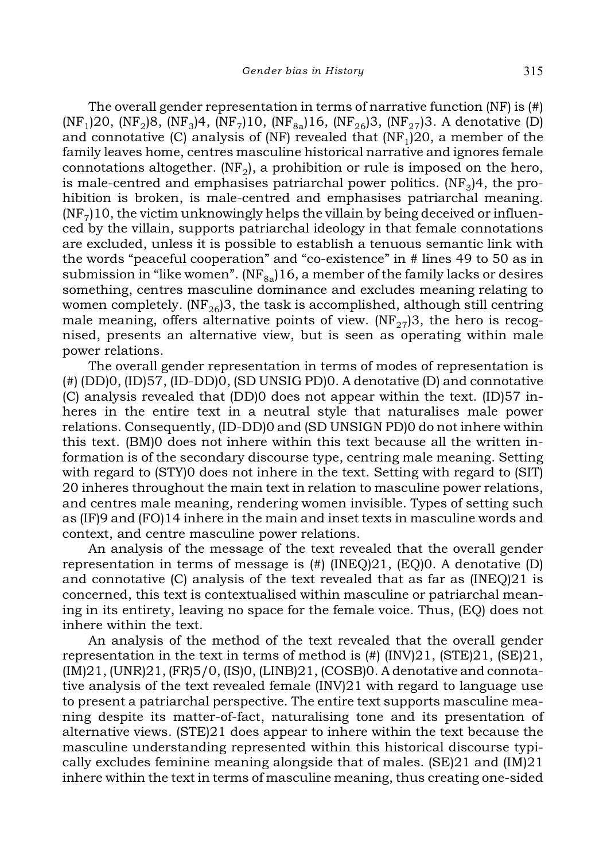The overall gender representation in terms of narrative function (NF) is (#) (NF<sub>1</sub>)20, (NF<sub>2</sub>)8, (NF<sub>3</sub>)4, (NF<sub>7</sub>)10, (NF<sub>8a</sub>)16, (NF<sub>26</sub>)3, (NF<sub>27</sub>)3. A denotative (D) and connotative (C) analysis of (NF) revealed that (NF $_{\rm l}$ )20, a member of the family leaves home, centres masculine historical narrative and ignores female connotations altogether. (NF<sub>2</sub>), a prohibition or rule is imposed on the hero, is male-centred and emphasises patriarchal power politics. (NF $_{\rm 3}$ )4, the prohibition is broken, is male-centred and emphasises patriarchal meaning.  $({\rm NF}_7)10,$  the victim unknowingly helps the villain by being deceived or influenced by the villain, supports patriarchal ideology in that female connotations are excluded, unless it is possible to establish a tenuous semantic link with the words "peaceful cooperation" and "co-existence" in # lines 49 to 50 as in submission in "like women". ( $NF_{8a}$ )16, a member of the family lacks or desires something, centres masculine dominance and excludes meaning relating to women completely. (NF<sub>26</sub>)3, the task is accomplished, although still centring male meaning, offers alternative points of view. (NF $_{27}$ )3, the hero is recognised, presents an alternative view, but is seen as operating within male power relations.

The overall gender representation in terms of modes of representation is (#) (DD)0, (ID)57, (ID-DD)0, (SD UNSIG PD)0. A denotative (D) and connotative (C) analysis revealed that (DD)0 does not appear within the text. (ID)57 inheres in the entire text in a neutral style that naturalises male power relations. Consequently, (ID-DD)0 and (SD UNSIGN PD)0 do not inhere within this text. (BM)0 does not inhere within this text because all the written information is of the secondary discourse type, centring male meaning. Setting with regard to (STY)0 does not inhere in the text. Setting with regard to (SIT) 20 inheres throughout the main text in relation to masculine power relations, and centres male meaning, rendering women invisible. Types of setting such as (IF)9 and (FO)14 inhere in the main and inset texts in masculine words and context, and centre masculine power relations.

An analysis of the message of the text revealed that the overall gender representation in terms of message is (#) (INEQ)21, (EQ)0. A denotative (D) and connotative (C) analysis of the text revealed that as far as (INEQ)21 is concerned, this text is contextualised within masculine or patriarchal meaning in its entirety, leaving no space for the female voice. Thus, (EQ) does not inhere within the text.

An analysis of the method of the text revealed that the overall gender representation in the text in terms of method is  $(\#)(INV)21$ ,  $(STE)21$ ,  $(SE)21$ , (IM)21, (UNR)21, (FR)5/0, (IS)0, (LINB)21, (COSB)0. A denotative and connotative analysis of the text revealed female (INV)21 with regard to language use to present a patriarchal perspective. The entire text supports masculine meaning despite its matter-of-fact, naturalising tone and its presentation of alternative views. (STE)21 does appear to inhere within the text because the masculine understanding represented within this historical discourse typically excludes feminine meaning alongside that of males. (SE)21 and (IM)21 inhere within the text in terms of masculine meaning, thus creating one-sided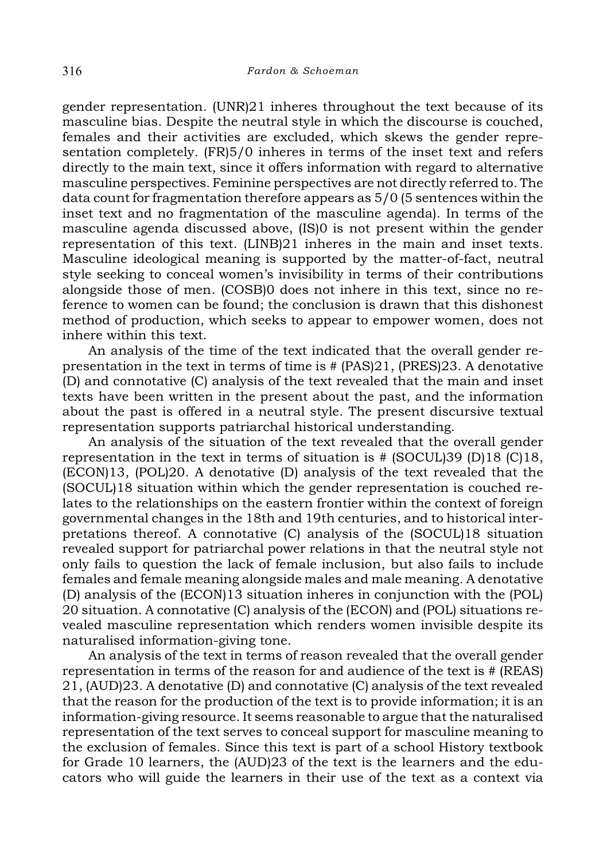gender representation. (UNR)21 inheres throughout the text because of its masculine bias. Despite the neutral style in which the discourse is couched, females and their activities are excluded, which skews the gender representation completely. (FR)5/0 inheres in terms of the inset text and refers directly to the main text, since it offers information with regard to alternative masculine perspectives. Feminine perspectives are not directly referred to. The data count for fragmentation therefore appears as 5/0 (5 sentences within the inset text and no fragmentation of the masculine agenda). In terms of the masculine agenda discussed above, (IS)0 is not present within the gender representation of this text. (LINB)21 inheres in the main and inset texts. Masculine ideological meaning is supported by the matter-of-fact, neutral style seeking to conceal women's invisibility in terms of their contributions alongside those of men. (COSB)0 does not inhere in this text, since no reference to women can be found; the conclusion is drawn that this dishonest method of production, which seeks to appear to empower women, does not inhere within this text.

An analysis of the time of the text indicated that the overall gender representation in the text in terms of time is # (PAS)21, (PRES)23. A denotative (D) and connotative (C) analysis of the text revealed that the main and inset texts have been written in the present about the past, and the information about the past is offered in a neutral style. The present discursive textual representation supports patriarchal historical understanding.

An analysis of the situation of the text revealed that the overall gender representation in the text in terms of situation is # (SOCUL)39 (D)18 (C)18, (ECON)13, (POL)20. A denotative (D) analysis of the text revealed that the (SOCUL)18 situation within which the gender representation is couched relates to the relationships on the eastern frontier within the context of foreign governmental changes in the 18th and 19th centuries, and to historical interpretations thereof. A connotative (C) analysis of the (SOCUL)18 situation revealed support for patriarchal power relations in that the neutral style not only fails to question the lack of female inclusion, but also fails to include females and female meaning alongside males and male meaning. A denotative (D) analysis of the (ECON)13 situation inheres in conjunction with the (POL) 20 situation. A connotative (C) analysis of the (ECON) and (POL) situations revealed masculine representation which renders women invisible despite its naturalised information-giving tone.

An analysis of the text in terms of reason revealed that the overall gender representation in terms of the reason for and audience of the text is # (REAS) 21, (AUD)23. A denotative (D) and connotative (C) analysis of the text revealed that the reason for the production of the text is to provide information; it is an information-giving resource. It seems reasonable to argue that the naturalised representation of the text serves to conceal support for masculine meaning to the exclusion of females. Since this text is part of a school History textbook for Grade 10 learners, the (AUD)23 of the text is the learners and the educators who will guide the learners in their use of the text as a context via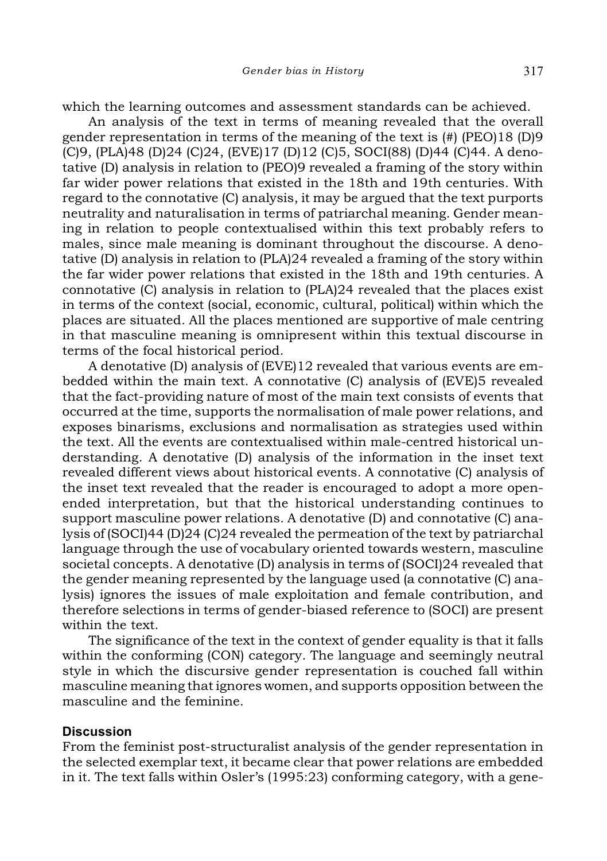An analysis of the text in terms of meaning revealed that the overall gender representation in terms of the meaning of the text is (#) (PEO)18 (D)9 (C)9, (PLA)48 (D)24 (C)24, (EVE)17 (D)12 (C)5, SOCI(88) (D)44 (C)44. A denotative (D) analysis in relation to (PEO)9 revealed a framing of the story within far wider power relations that existed in the 18th and 19th centuries. With regard to the connotative (C) analysis, it may be argued that the text purports neutrality and naturalisation in terms of patriarchal meaning. Gender meaning in relation to people contextualised within this text probably refers to males, since male meaning is dominant throughout the discourse. A denotative (D) analysis in relation to (PLA)24 revealed a framing of the story within the far wider power relations that existed in the 18th and 19th centuries. A connotative (C) analysis in relation to (PLA)24 revealed that the places exist in terms of the context (social, economic, cultural, political) within which the places are situated. All the places mentioned are supportive of male centring in that masculine meaning is omnipresent within this textual discourse in terms of the focal historical period.

A denotative (D) analysis of (EVE)12 revealed that various events are embedded within the main text. A connotative (C) analysis of (EVE)5 revealed that the fact-providing nature of most of the main text consists of events that occurred at the time, supports the normalisation of male power relations, and exposes binarisms, exclusions and normalisation as strategies used within the text. All the events are contextualised within male-centred historical understanding. A denotative (D) analysis of the information in the inset text revealed different views about historical events. A connotative (C) analysis of the inset text revealed that the reader is encouraged to adopt a more openended interpretation, but that the historical understanding continues to support masculine power relations. A denotative (D) and connotative (C) analysis of (SOCI)44 (D)24 (C)24 revealed the permeation of the text by patriarchal language through the use of vocabulary oriented towards western, masculine societal concepts. A denotative (D) analysis in terms of (SOCI)24 revealed that the gender meaning represented by the language used (a connotative (C) analysis) ignores the issues of male exploitation and female contribution, and therefore selections in terms of gender-biased reference to (SOCI) are present within the text.

The significance of the text in the context of gender equality is that it falls within the conforming (CON) category. The language and seemingly neutral style in which the discursive gender representation is couched fall within masculine meaning that ignores women, and supports opposition between the masculine and the feminine.

## **Discussion**

From the feminist post-structuralist analysis of the gender representation in the selected exemplar text, it became clear that power relations are embedded in it. The text falls within Osler's (1995:23) conforming category, with a gene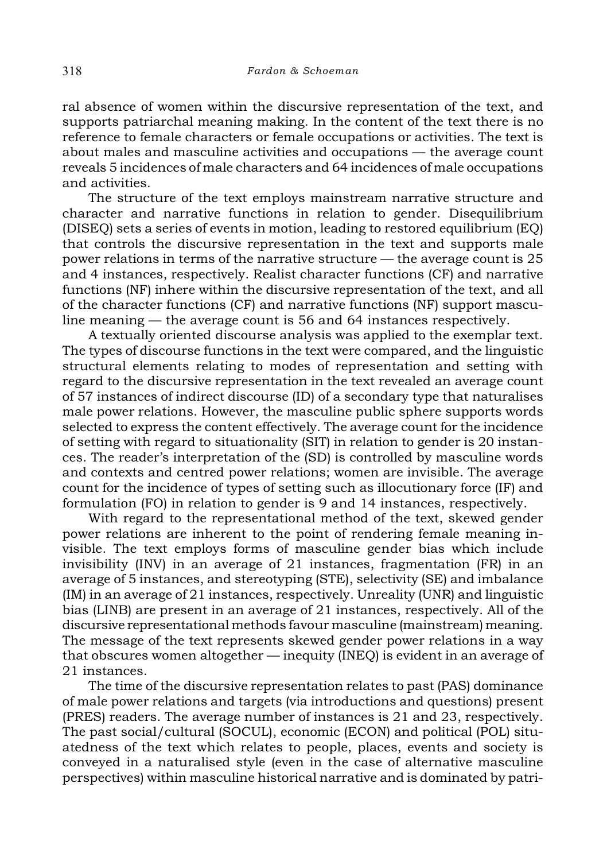ral absence of women within the discursive representation of the text, and supports patriarchal meaning making. In the content of the text there is no reference to female characters or female occupations or activities. The text is about males and masculine activities and occupations — the average count reveals 5 incidences of male characters and 64 incidences of male occupations and activities.

The structure of the text employs mainstream narrative structure and character and narrative functions in relation to gender. Disequilibrium (DISEQ) sets a series of events in motion, leading to restored equilibrium (EQ) that controls the discursive representation in the text and supports male power relations in terms of the narrative structure — the average count is 25 and 4 instances, respectively. Realist character functions (CF) and narrative functions (NF) inhere within the discursive representation of the text, and all of the character functions (CF) and narrative functions (NF) support masculine meaning — the average count is 56 and 64 instances respectively.

A textually oriented discourse analysis was applied to the exemplar text. The types of discourse functions in the text were compared, and the linguistic structural elements relating to modes of representation and setting with regard to the discursive representation in the text revealed an average count of 57 instances of indirect discourse (ID) of a secondary type that naturalises male power relations. However, the masculine public sphere supports words selected to express the content effectively. The average count for the incidence of setting with regard to situationality (SIT) in relation to gender is 20 instances. The reader's interpretation of the (SD) is controlled by masculine words and contexts and centred power relations; women are invisible. The average count for the incidence of types of setting such as illocutionary force (IF) and formulation (FO) in relation to gender is 9 and 14 instances, respectively.

With regard to the representational method of the text, skewed gender power relations are inherent to the point of rendering female meaning invisible. The text employs forms of masculine gender bias which include invisibility (INV) in an average of 21 instances, fragmentation (FR) in an average of 5 instances, and stereotyping (STE), selectivity (SE) and imbalance (IM) in an average of 21 instances, respectively. Unreality (UNR) and linguistic bias (LINB) are present in an average of 21 instances, respectively. All of the discursive representational methods favour masculine (mainstream) meaning. The message of the text represents skewed gender power relations in a way that obscures women altogether — inequity (INEQ) is evident in an average of 21 instances.

The time of the discursive representation relates to past (PAS) dominance of male power relations and targets (via introductions and questions) present (PRES) readers. The average number of instances is 21 and 23, respectively. The past social/cultural (SOCUL), economic (ECON) and political (POL) situatedness of the text which relates to people, places, events and society is conveyed in a naturalised style (even in the case of alternative masculine perspectives) within masculine historical narrative and is dominated by patri-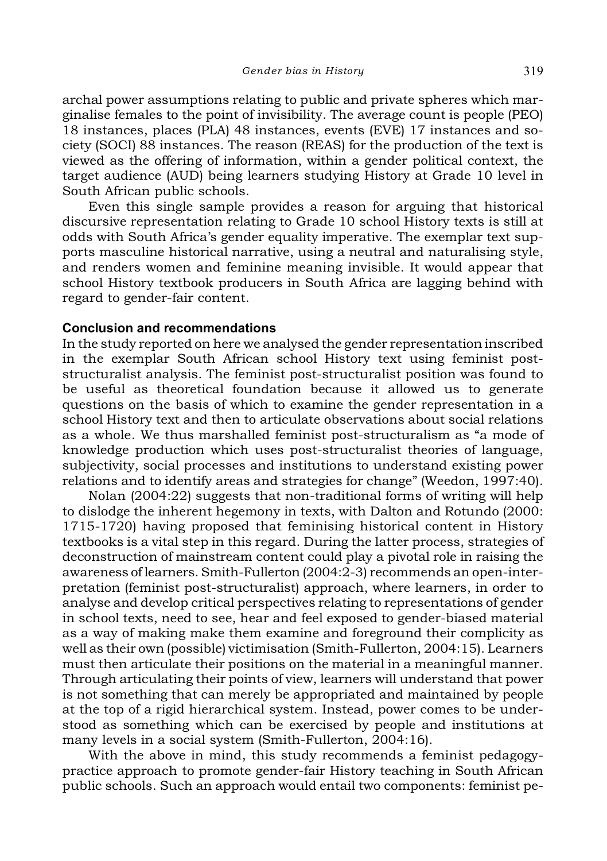archal power assumptions relating to public and private spheres which marginalise females to the point of invisibility. The average count is people (PEO) 18 instances, places (PLA) 48 instances, events (EVE) 17 instances and society (SOCI) 88 instances. The reason (REAS) for the production of the text is viewed as the offering of information, within a gender political context, the target audience (AUD) being learners studying History at Grade 10 level in South African public schools.

Even this single sample provides a reason for arguing that historical discursive representation relating to Grade 10 school History texts is still at odds with South Africa's gender equality imperative. The exemplar text supports masculine historical narrative, using a neutral and naturalising style, and renders women and feminine meaning invisible. It would appear that school History textbook producers in South Africa are lagging behind with regard to gender-fair content.

## **Conclusion and recommendations**

In the study reported on here we analysed the gender representation inscribed in the exemplar South African school History text using feminist poststructuralist analysis. The feminist post-structuralist position was found to be useful as theoretical foundation because it allowed us to generate questions on the basis of which to examine the gender representation in a school History text and then to articulate observations about social relations as a whole. We thus marshalled feminist post-structuralism as "a mode of knowledge production which uses post-structuralist theories of language, subjectivity, social processes and institutions to understand existing power relations and to identify areas and strategies for change" (Weedon, 1997:40).

Nolan (2004:22) suggests that non-traditional forms of writing will help to dislodge the inherent hegemony in texts, with Dalton and Rotundo (2000: 1715-1720) having proposed that feminising historical content in History textbooks is a vital step in this regard. During the latter process, strategies of deconstruction of mainstream content could play a pivotal role in raising the awareness of learners. Smith-Fullerton (2004:2-3) recommends an open-interpretation (feminist post-structuralist) approach, where learners, in order to analyse and develop critical perspectives relating to representations of gender in school texts, need to see, hear and feel exposed to gender-biased material as a way of making make them examine and foreground their complicity as well as their own (possible) victimisation (Smith-Fullerton, 2004:15). Learners must then articulate their positions on the material in a meaningful manner. Through articulating their points of view, learners will understand that power is not something that can merely be appropriated and maintained by people at the top of a rigid hierarchical system. Instead, power comes to be understood as something which can be exercised by people and institutions at many levels in a social system (Smith-Fullerton, 2004:16).

With the above in mind, this study recommends a feminist pedagogypractice approach to promote gender-fair History teaching in South African public schools. Such an approach would entail two components: feminist pe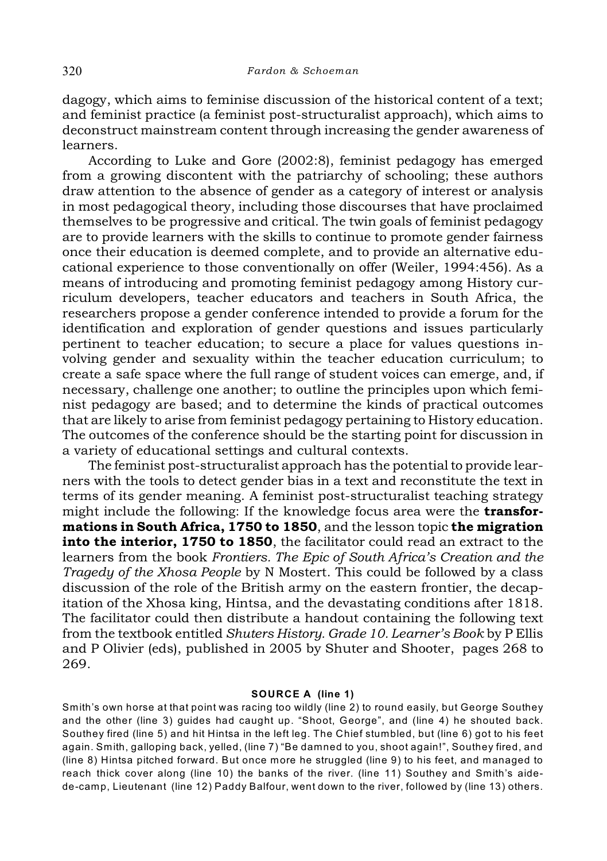dagogy, which aims to feminise discussion of the historical content of a text; and feminist practice (a feminist post-structuralist approach), which aims to deconstruct mainstream content through increasing the gender awareness of learners.

According to Luke and Gore (2002:8), feminist pedagogy has emerged from a growing discontent with the patriarchy of schooling; these authors draw attention to the absence of gender as a category of interest or analysis in most pedagogical theory, including those discourses that have proclaimed themselves to be progressive and critical. The twin goals of feminist pedagogy are to provide learners with the skills to continue to promote gender fairness once their education is deemed complete, and to provide an alternative educational experience to those conventionally on offer (Weiler, 1994:456). As a means of introducing and promoting feminist pedagogy among History curriculum developers, teacher educators and teachers in South Africa, the researchers propose a gender conference intended to provide a forum for the identification and exploration of gender questions and issues particularly pertinent to teacher education; to secure a place for values questions involving gender and sexuality within the teacher education curriculum; to create a safe space where the full range of student voices can emerge, and, if necessary, challenge one another; to outline the principles upon which feminist pedagogy are based; and to determine the kinds of practical outcomes that are likely to arise from feminist pedagogy pertaining to History education. The outcomes of the conference should be the starting point for discussion in a variety of educational settings and cultural contexts.

The feminist post-structuralist approach has the potential to provide learners with the tools to detect gender bias in a text and reconstitute the text in terms of its gender meaning. A feminist post-structuralist teaching strategy might include the following: If the knowledge focus area were the **transfor**mations in South Africa, 1750 to 1850, and the lesson topic the migration into the interior, 1750 to 1850, the facilitator could read an extract to the learners from the book *Frontiers. The Epic of South Africa's Creation and the Tragedy of the Xhosa People* by N Mostert. This could be followed by a class discussion of the role of the British army on the eastern frontier, the decapitation of the Xhosa king, Hintsa, and the devastating conditions after 1818. The facilitator could then distribute a handout containing the following text from the textbook entitled *Shuters History. Grade 10. Learner's Book* by P Ellis and P Olivier (eds), published in 2005 by Shuter and Shooter, pages 268 to 269.

#### **SOURCE A (line 1)**

Smith's own horse at that point was racing too wildly (line 2) to round easily, but George Southey and the other (line 3) guides had caught up. "Shoot, George", and (line 4) he shouted back. Southey fired (line 5) and hit Hintsa in the left leg. The Chief stumbled, but (line 6) got to his feet again. Smith, galloping back, yelled, (line 7) "Be damned to you, shoot again!", Southey fired, and (line 8) Hintsa pitched forward. But once more he struggled (line 9) to his feet, and managed to reach thick cover along (line 10) the banks of the river. (line 11) Southey and Smith's aidede-camp, Lieutenant (line 12) Paddy Balfour, went down to the river, followed by (line 13) others.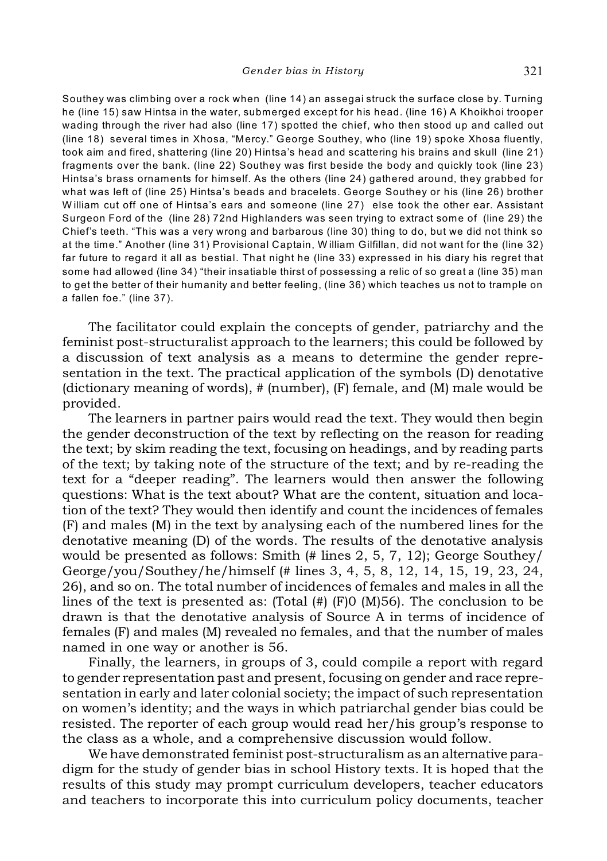Southey was climbing over a rock when (line 14) an assegai struck the surface close by. Turning he (line 15) saw Hintsa in the water, submerged except for his head. (line 16) A Khoikhoi trooper wading through the river had also (line 17) spotted the chief, who then stood up and called out (line 18) several times in Xhosa, "Mercy." George Southey, who (line 19) spoke Xhosa fluently, took aim and fired, shattering (line 20) Hintsa's head and scattering his brains and skull (line 21) fragments over the bank. (line 22) Southey was first beside the body and quickly took (line 23) Hintsa's brass ornaments for himself. As the others (line 24) gathered around, they grabbed for what was left of (line 25) Hintsa's beads and bracelets. George Southey or his (line 26) brother W illiam cut off one of Hintsa's ears and someone (line 27) else took the other ear. Assistant Surgeon Ford of the (line 28) 72nd Highlanders was seen trying to extract some of (line 29) the Chief's teeth. "This was a very wrong and barbarous (line 30) thing to do, but we did not think so at the time." Another (line 31) Provisional Captain, W illiam Gilfillan, did not want for the (line 32) far future to regard it all as bestial. That night he (line 33) expressed in his diary his regret that some had allowed (line 34) "their insatiable thirst of possessing a relic of so great a (line 35) man to get the better of their humanity and better feeling, (line 36) which teaches us not to trample on a fallen foe." (line 37).

The facilitator could explain the concepts of gender, patriarchy and the feminist post-structuralist approach to the learners; this could be followed by a discussion of text analysis as a means to determine the gender representation in the text. The practical application of the symbols (D) denotative (dictionary meaning of words), # (number), (F) female, and (M) male would be provided.

The learners in partner pairs would read the text. They would then begin the gender deconstruction of the text by reflecting on the reason for reading the text; by skim reading the text, focusing on headings, and by reading parts of the text; by taking note of the structure of the text; and by re-reading the text for a "deeper reading". The learners would then answer the following questions: What is the text about? What are the content, situation and location of the text? They would then identify and count the incidences of females (F) and males (M) in the text by analysing each of the numbered lines for the denotative meaning (D) of the words. The results of the denotative analysis would be presented as follows: Smith (# lines 2, 5, 7, 12); George Southey/ George/you/Southey/he/himself (# lines 3, 4, 5, 8, 12, 14, 15, 19, 23, 24, 26), and so on. The total number of incidences of females and males in all the lines of the text is presented as: (Total (#) (F)0 (M)56). The conclusion to be drawn is that the denotative analysis of Source A in terms of incidence of females (F) and males (M) revealed no females, and that the number of males named in one way or another is 56.

Finally, the learners, in groups of 3, could compile a report with regard to gender representation past and present, focusing on gender and race representation in early and later colonial society; the impact of such representation on women's identity; and the ways in which patriarchal gender bias could be resisted. The reporter of each group would read her/his group's response to the class as a whole, and a comprehensive discussion would follow.

We have demonstrated feminist post-structuralism as an alternative paradigm for the study of gender bias in school History texts. It is hoped that the results of this study may prompt curriculum developers, teacher educators and teachers to incorporate this into curriculum policy documents, teacher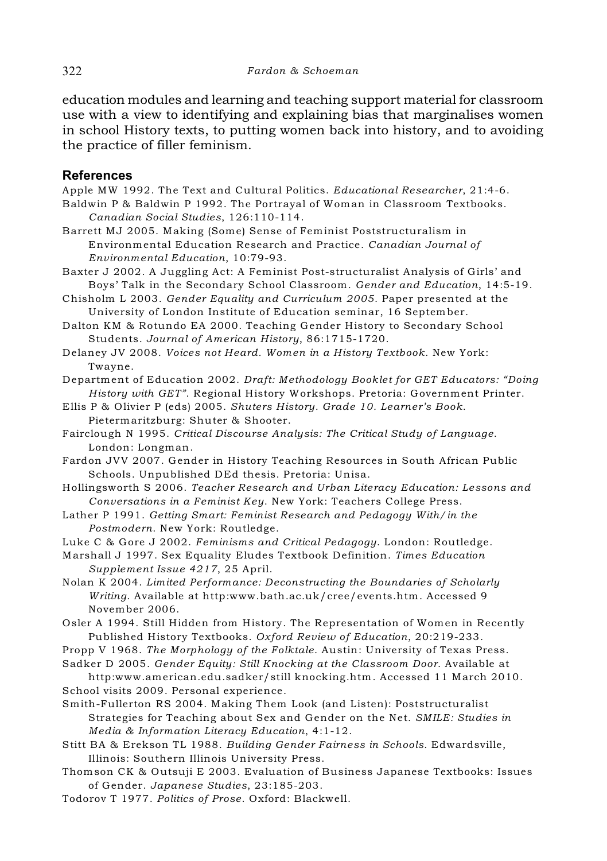education modules and learning and teaching support material for classroom use with a view to identifying and explaining bias that marginalises women in school History texts, to putting women back into history, and to avoiding the practice of filler feminism.

# **References**

Apple MW 1992. The Text and Cultural Politics. *Educational Researcher*, 21:4-6.

- Baldwin P & Baldwin P 1992. The Portrayal of Woman in Classroom Textbooks. *Canadian Social Studies*, 126:110-114.
- Barrett MJ 2005. Making (Some) Sense of Feminist Poststructuralism in Environmental Education Research and Practice. *Canadian Journal of Environmental Education*, 10:79-93.
- Baxter J 2002. A Juggling Act: A Feminist Post-structuralist Analysis of Girls' and Boys' Talk in the Secondary School Classroom. *Gender and Education*, 14:5-19.
- Chisholm L 2003. *Gender Equality and Curriculum 2005*. Paper presented at the University of London Institute of Education seminar, 16 September.
- Dalton KM & Rotundo EA 2000. Teaching Gender History to Secondary School Students. *Journal of American History*, 86:1715-1720.
- Delaney JV 2008. *Voices not Heard. Women in a History Textbook*. New York: Twayne.
- Department of Education 2002. *Draft: Methodology Booklet for GET Educators: "Doing History with GET"*. Regional History Workshops. Pretoria: Government Printer.
- Ellis P & Olivier P (eds) 2005. *Shuters History. Grade 10. Learner's Book*. Pietermaritzburg: Shuter & Shooter.
- Fairclough N 1995. *Critical Discourse Analysis: The Critical Study of Language*. London: Longman.

Fardon JVV 2007. Gender in History Teaching Resources in South African Public Schools. Unpublished DEd thesis. Pretoria: Unisa.

- Hollingsworth S 2006. *Teacher Research and Urban Literacy Education: Lessons and Conversations in a Feminist Key*. New York: Teachers College Press.
- Lather P 1991. *Getting Smart: Feminist Research and Pedagogy With/in the Postmodern*. New York: Routledge.

Luke C & Gore J 2002. *Feminisms and Critical Pedagogy*. London: Routledge.

Marshall J 1997. Sex Equality Eludes Textbook Definition. *Times Education Supplement Issue 4217*, 25 April.

Nolan K 2004. *Limited Performance: Deconstructing the Boundaries of Scholarly Writing*. Available at http:www.bath.ac.uk/cree/events.htm. Accessed 9 November 2006.

Osler A 1994. Still Hidden from History. The Representation of Women in Recently Published History Textbooks. *Oxford Review of Education*, 20:219-233.

Propp V 1968. *The Morphology of the Folktale*. Austin: University of Texas Press.

Sadker D 2005. *Gender Equity: Still Knocking at the Classroom Door*. Available at

http:www.american.edu.sadker/still knocking.htm. Accessed 11 March 2010. School visits 2009. Personal experience.

Smith-Fullerton RS 2004. Making Them Look (and Listen): Poststructuralist Strategies for Teaching about Sex and Gender on the Net. *SMILE: Studies in Media & Information Literacy Education*, 4:1-12.

Stitt BA & Erekson TL 1988. *Building Gender Fairness in Schools*. Edwardsville, Illinois: Southern Illinois University Press.

- Thomson CK & Outsuji E 2003. Evaluation of Business Japanese Textbooks: Issues of Gender. *Japanese Studies*, 23:185-203.
- Todorov T 1977. *Politics of Prose*. Oxford: Blackwell.